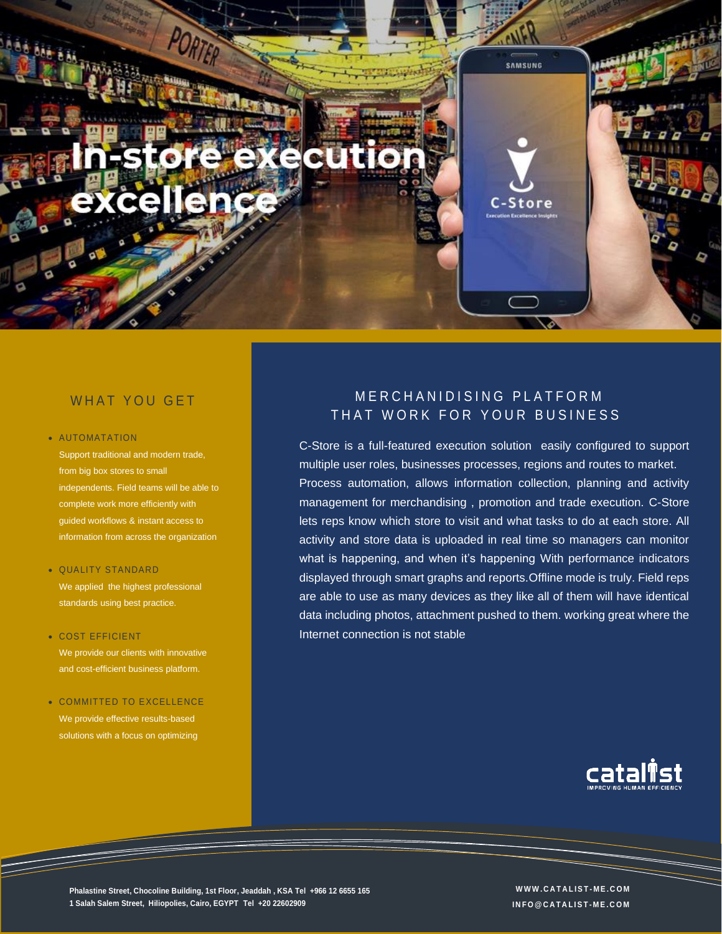

# WHAT YOU GET

#### • AUTOMATATION

Support traditional and modern trade, from big box stores to small independents. Field teams will be able to complete work more efficiently with guided workflows & instant access to information from across the organization

#### • QUALITY STANDARD

We applied the highest professional standards using best practice.

### • COST EFFICIENT

We provide our clients with innovative and cost-efficient business platform.

### • COMMITTED TO EXCELLENCE We provide effective results-based

solutions with a focus on optimizing

# MERCHANIDISING PLATFORM THAT WORK FOR YOUR BUSINESS

C-Store is a full-featured execution solution easily configured to support multiple user roles, businesses processes, regions and routes to market. Process automation, allows information collection, planning and activity management for merchandising , promotion and trade execution. C-Store lets reps know which store to visit and what tasks to do at each store. All activity and store data is uploaded in real time so managers can monitor what is happening, and when it's happening With performance indicators displayed through smart graphs and reports.Offline mode is truly. Field reps are able to use as many devices as they like all of them will have identical data including photos, attachment pushed to them. working great where the Internet connection is not stable



**Phalastine Street, Chocoline Building, 1st Floor, Jeaddah , KSA Tel +966 12 6655 165 W W W . C A T A L I S T - M E . C O M 1 Salah Salem Street, Hiliopolies, Cairo, EGYPT Tel +20 22602909**

**I N F O @ C A T A L I S T - M E . C O M**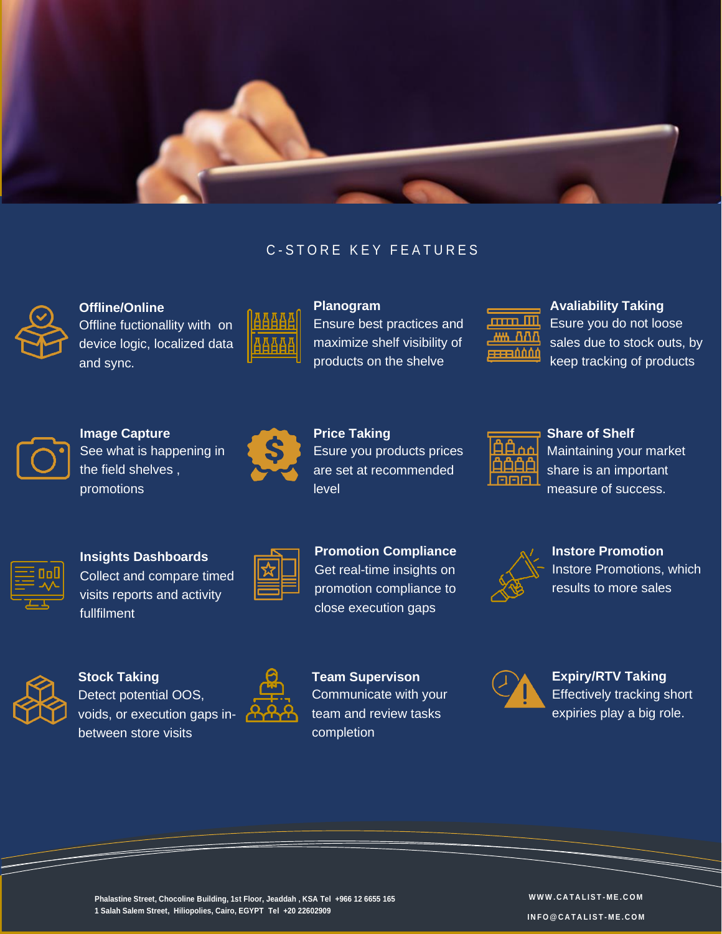

# C-STORE KEY FEATURES



**Offline/Online** Offline fuctionallity with on device logic, localized data and sync.



**Planogram** Ensure best practices and maximize shelf visibility of products on the shelve



**Avaliability Taking** Esure you do not loose sales due to stock outs, by keep tracking of products



**Image Capture**

See what is happening in the field shelves , promotions



**Price Taking** Esure you products prices are set at recommended level



**Share of Shelf** Maintaining your market share is an important measure of success.



**Insights Dashboards**

Collect and compare timed visits reports and activity fullfilment

**Promotion Compliance** Get real-time insights on promotion compliance to close execution gaps



**Instore Promotion** Instore Promotions, which results to more sales



**Stock Taking** Detect potential OOS, voids, or execution gaps inbetween store visits



**Team Supervison** Communicate with your team and review tasks completion



**Expiry/RTV Taking** Effectively tracking short expiries play a big role.



**W W W . C A T A L I S T - M E . C O M I N F O @ C A T A L I S T - M E . C O M**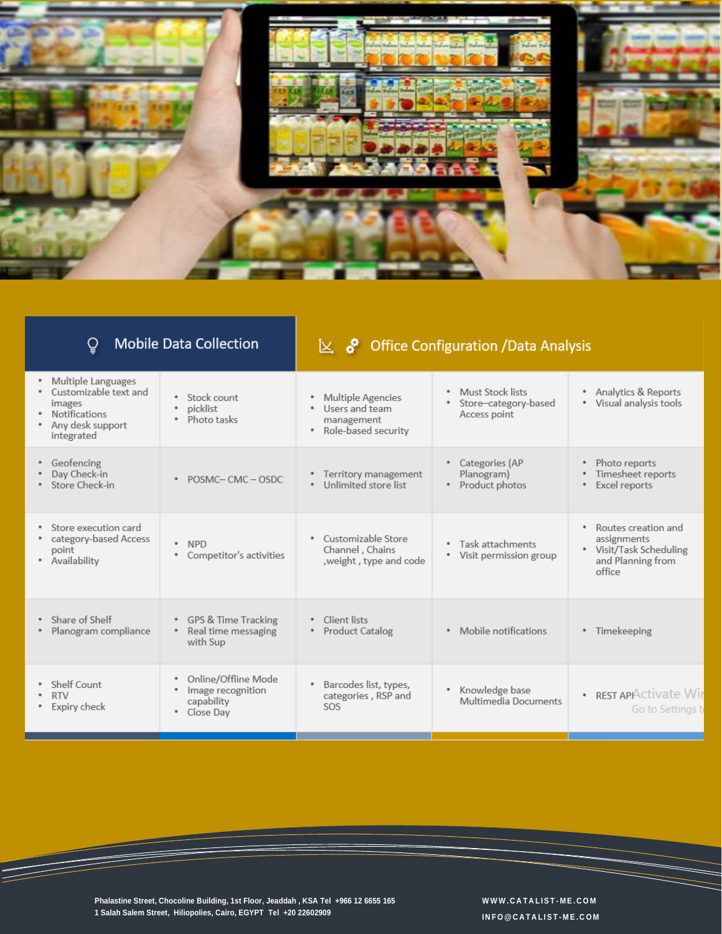

| <b>Mobile Data Collection</b>                                                                                   |                                                                            | $\&$ $\&$ Office Configuration /Data Analysis                                     |                                                          |                                                                                                   |
|-----------------------------------------------------------------------------------------------------------------|----------------------------------------------------------------------------|-----------------------------------------------------------------------------------|----------------------------------------------------------|---------------------------------------------------------------------------------------------------|
| Multiple Languages<br>Customizable text and<br>images<br><b>Notifications</b><br>Any desk support<br>integrated | Stock count<br>picklist<br>Photo tasks<br>٠                                | <b>Multiple Agencies</b><br>Users and team<br>management<br>• Role-based security | Must Stock lists<br>Store-category-based<br>Access point | Analytics & Reports<br>۰<br>Visual analysis tools<br>۰                                            |
| Geofencing<br>Day Check-in<br>* Store Check-in                                                                  | POSMC-CMC-OSDC<br>٠                                                        | Territory management<br>Unlimited store list<br>٠                                 | Categories (AP<br>Planogram)<br>• Product photos         | Photo reports<br>٠<br>Timesheet reports<br>Excel reports                                          |
| Store execution card<br>٠<br>• category-based Access<br>point<br>• Availability                                 | · NPD<br>• Competitor's activities                                         | Customizable Store<br>Channel, Chains<br>, weight, type and code                  | • Task attachments<br>• Visit permission group           | Routes creation and<br>۰<br>assignments<br>• Visit/Task Scheduling<br>and Planning from<br>office |
| • Share of Shelf<br>Planogram compliance                                                                        | • GPS & Time Tracking<br>Real time messaging<br>with Sup                   | Client lists<br><b>Product Catalog</b>                                            | • Mobile notifications                                   | Timekeeping<br>٠                                                                                  |
| Shelf Count<br><b>RTV</b><br>Expiry check                                                                       | Online/Offline Mode<br>٠<br>Image recognition<br>capability<br>• Close Day | Barcodes list, types,<br>categories, RSP and<br>SOS                               | Knowledge base<br>٠<br>Multimedia Documents              | · REST APPActivate Wir<br>Go to Settings to                                                       |

**Phalastine Street, Chocoline Building, 1st Floor, Jeaddah , KSA Tel +966 12 6655 165 1 Salah Salem Street, Hiliopolies, Cairo, EGYPT Tel +20 22602909**

 $\equiv$ 

**W W W . C A T A L I S T - M E . C O M I N F O @ C A T A L I S T - M E . C O M**